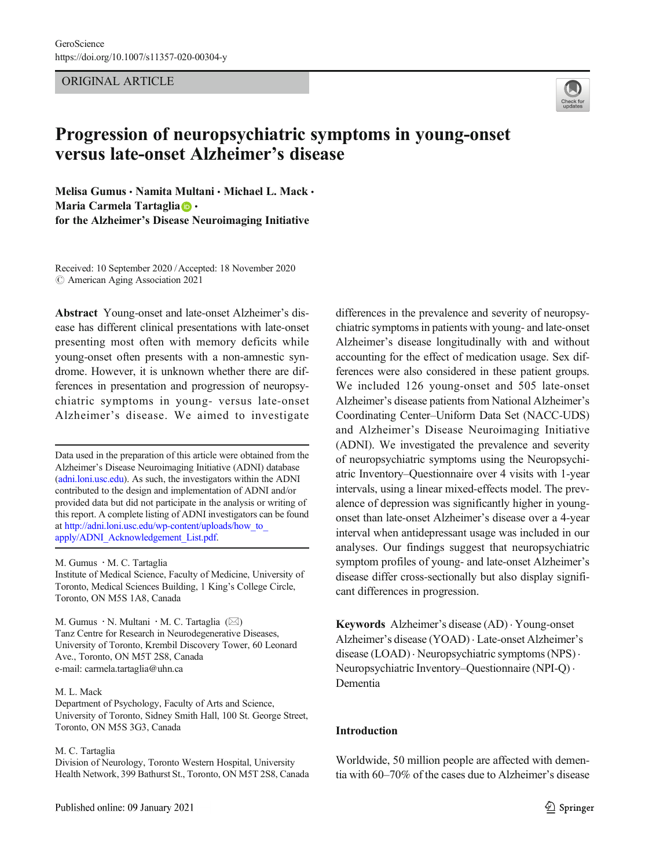ORIGINAL ARTICLE



# Progression of neuropsychiatric symptoms in young-onset versus late-onset Alzheimer's disease

Melisa Gumus · Namita Multani · Michael L. Mack · Maria Carmela Tartaglia **D** . for the Alzheimer's Disease Neuroimaging Initiative

Received: 10 September 2020 /Accepted: 18 November 2020  $\odot$  American Aging Association 2021

Abstract Young-onset and late-onset Alzheimer's disease has different clinical presentations with late-onset presenting most often with memory deficits while young-onset often presents with a non-amnestic syndrome. However, it is unknown whether there are differences in presentation and progression of neuropsychiatric symptoms in young- versus late-onset Alzheimer's disease. We aimed to investigate

Data used in the preparation of this article were obtained from the Alzheimer's Disease Neuroimaging Initiative (ADNI) database [\(adni.loni.usc.edu\)](http://adni.loni.usc.edu). As such, the investigators within the ADNI contributed to the design and implementation of ADNI and/or provided data but did not participate in the analysis or writing of this report. A complete listing of ADNI investigators can be found at [http://adni.loni.usc.edu/wp-content/uploads/how\\_to\\_](http://adni.loni.usc.edu/wp-content/uploads/how_to_apply/ADNI_Acknowledgement_List.pdf) [apply/ADNI\\_Acknowledgement\\_List.pdf.](http://adni.loni.usc.edu/wp-content/uploads/how_to_apply/ADNI_Acknowledgement_List.pdf)

M. Gumus · M. C. Tartaglia

Institute of Medical Science, Faculty of Medicine, University of Toronto, Medical Sciences Building, 1 King's College Circle, Toronto, ON M5S 1A8, Canada

M. Gumus  $\cdot$  N. Multani  $\cdot$  M. C. Tartaglia ( $\boxtimes$ ) Tanz Centre for Research in Neurodegenerative Diseases, University of Toronto, Krembil Discovery Tower, 60 Leonard Ave., Toronto, ON M5T 2S8, Canada e-mail: carmela.tartaglia@uhn.ca

#### M. L. Mack

Department of Psychology, Faculty of Arts and Science, University of Toronto, Sidney Smith Hall, 100 St. George Street, Toronto, ON M5S 3G3, Canada

### M. C. Tartaglia

Division of Neurology, Toronto Western Hospital, University Health Network, 399 Bathurst St., Toronto, ON M5T 2S8, Canada differences in the prevalence and severity of neuropsychiatric symptoms in patients with young- and late-onset Alzheimer's disease longitudinally with and without accounting for the effect of medication usage. Sex differences were also considered in these patient groups. We included 126 young-onset and 505 late-onset Alzheimer's disease patients from National Alzheimer's Coordinating Center–Uniform Data Set (NACC-UDS) and Alzheimer's Disease Neuroimaging Initiative (ADNI). We investigated the prevalence and severity of neuropsychiatric symptoms using the Neuropsychiatric Inventory–Questionnaire over 4 visits with 1-year intervals, using a linear mixed-effects model. The prevalence of depression was significantly higher in youngonset than late-onset Alzheimer's disease over a 4-year interval when antidepressant usage was included in our analyses. Our findings suggest that neuropsychiatric symptom profiles of young- and late-onset Alzheimer's disease differ cross-sectionally but also display significant differences in progression.

Keywords Alzheimer's disease (AD) . Young-onset Alzheimer's disease (YOAD) . Late-onset Alzheimer's disease (LOAD) . Neuropsychiatric symptoms (NPS) . Neuropsychiatric Inventory–Questionnaire (NPI-Q) . Dementia

## Introduction

Worldwide, 50 million people are affected with dementia with 60–70% of the cases due to Alzheimer's disease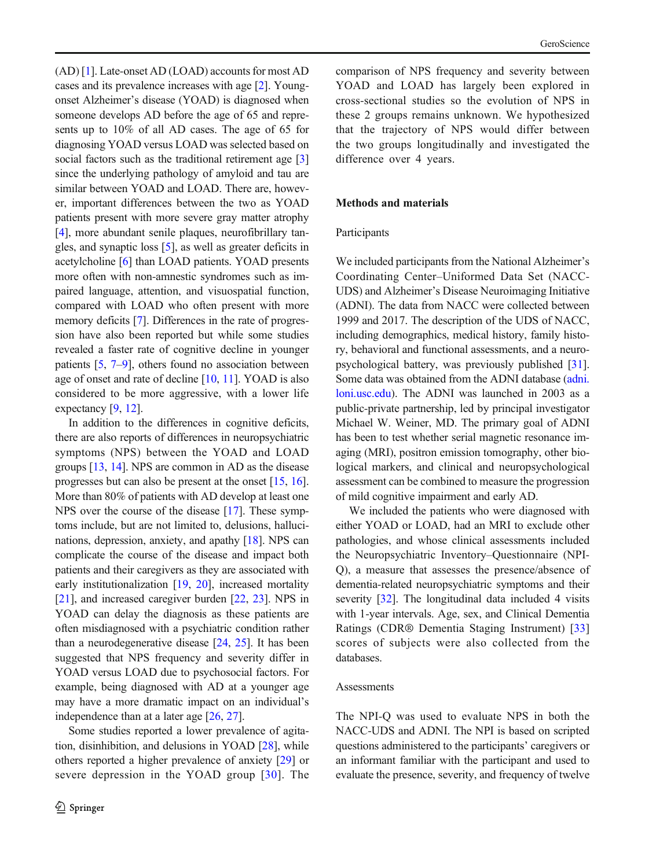(AD) [\[1](#page-8-0)]. Late-onset AD (LOAD) accounts for most AD cases and its prevalence increases with age [\[2](#page-8-0)]. Youngonset Alzheimer's disease (YOAD) is diagnosed when someone develops AD before the age of 65 and represents up to 10% of all AD cases. The age of 65 for diagnosing YOAD versus LOAD was selected based on social factors such as the traditional retirement age [\[3\]](#page-8-0) since the underlying pathology of amyloid and tau are similar between YOAD and LOAD. There are, however, important differences between the two as YOAD patients present with more severe gray matter atrophy [[4\]](#page-8-0), more abundant senile plaques, neurofibrillary tangles, and synaptic loss [\[5](#page-8-0)], as well as greater deficits in acetylcholine [\[6\]](#page-8-0) than LOAD patients. YOAD presents more often with non-amnestic syndromes such as impaired language, attention, and visuospatial function, compared with LOAD who often present with more memory deficits [\[7\]](#page-9-0). Differences in the rate of progression have also been reported but while some studies revealed a faster rate of cognitive decline in younger patients  $[5, 7-9]$  $[5, 7-9]$  $[5, 7-9]$  $[5, 7-9]$  $[5, 7-9]$ , others found no association between age of onset and rate of decline  $[10, 11]$  $[10, 11]$  $[10, 11]$ . YOAD is also considered to be more aggressive, with a lower life expectancy [\[9,](#page-9-0) [12\]](#page-9-0).

In addition to the differences in cognitive deficits, there are also reports of differences in neuropsychiatric symptoms (NPS) between the YOAD and LOAD groups [[13,](#page-9-0) [14](#page-9-0)]. NPS are common in AD as the disease progresses but can also be present at the onset [\[15,](#page-9-0) [16\]](#page-9-0). More than 80% of patients with AD develop at least one NPS over the course of the disease [[17\]](#page-9-0). These symptoms include, but are not limited to, delusions, hallucinations, depression, anxiety, and apathy [\[18](#page-9-0)]. NPS can complicate the course of the disease and impact both patients and their caregivers as they are associated with early institutionalization [\[19,](#page-9-0) [20](#page-9-0)], increased mortality [[21\]](#page-9-0), and increased caregiver burden [[22,](#page-9-0) [23](#page-9-0)]. NPS in YOAD can delay the diagnosis as these patients are often misdiagnosed with a psychiatric condition rather than a neurodegenerative disease [[24,](#page-9-0) [25](#page-9-0)]. It has been suggested that NPS frequency and severity differ in YOAD versus LOAD due to psychosocial factors. For example, being diagnosed with AD at a younger age may have a more dramatic impact on an individual's independence than at a later age [\[26](#page-9-0), [27](#page-9-0)].

Some studies reported a lower prevalence of agitation, disinhibition, and delusions in YOAD [\[28](#page-9-0)], while others reported a higher prevalence of anxiety [[29](#page-9-0)] or severe depression in the YOAD group [[30](#page-9-0)]. The comparison of NPS frequency and severity between YOAD and LOAD has largely been explored in cross-sectional studies so the evolution of NPS in these 2 groups remains unknown. We hypothesized that the trajectory of NPS would differ between the two groups longitudinally and investigated the difference over 4 years.

## Methods and materials

## Participants

We included participants from the National Alzheimer's Coordinating Center–Uniformed Data Set (NACC-UDS) and Alzheimer's Disease Neuroimaging Initiative (ADNI). The data from NACC were collected between 1999 and 2017. The description of the UDS of NACC, including demographics, medical history, family history, behavioral and functional assessments, and a neuropsychological battery, was previously published [[31\]](#page-9-0). Some data was obtained from the ADNI database [\(adni.](http://adni.loni.usc.edu) [loni.usc.edu\)](http://adni.loni.usc.edu). The ADNI was launched in 2003 as a public-private partnership, led by principal investigator Michael W. Weiner, MD. The primary goal of ADNI has been to test whether serial magnetic resonance imaging (MRI), positron emission tomography, other biological markers, and clinical and neuropsychological assessment can be combined to measure the progression of mild cognitive impairment and early AD.

We included the patients who were diagnosed with either YOAD or LOAD, had an MRI to exclude other pathologies, and whose clinical assessments included the Neuropsychiatric Inventory–Questionnaire (NPI-Q), a measure that assesses the presence/absence of dementia-related neuropsychiatric symptoms and their severity [[32\]](#page-9-0). The longitudinal data included 4 visits with 1-year intervals. Age, sex, and Clinical Dementia Ratings (CDR® Dementia Staging Instrument) [[33](#page-9-0)] scores of subjects were also collected from the databases.

## **Assessments**

The NPI-Q was used to evaluate NPS in both the NACC-UDS and ADNI. The NPI is based on scripted questions administered to the participants' caregivers or an informant familiar with the participant and used to evaluate the presence, severity, and frequency of twelve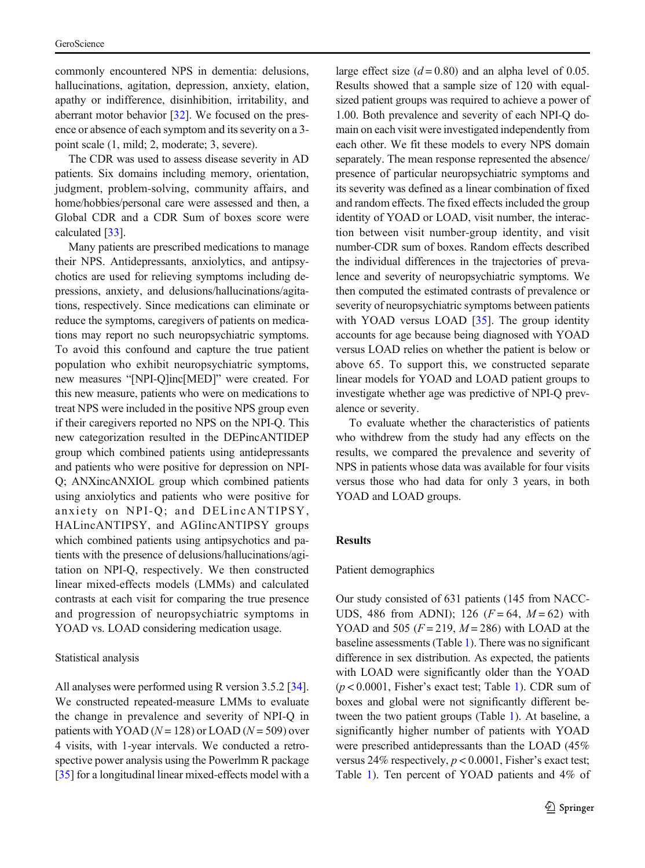commonly encountered NPS in dementia: delusions, hallucinations, agitation, depression, anxiety, elation, apathy or indifference, disinhibition, irritability, and aberrant motor behavior [\[32](#page-9-0)]. We focused on the presence or absence of each symptom and its severity on a 3 point scale (1, mild; 2, moderate; 3, severe).

The CDR was used to assess disease severity in AD patients. Six domains including memory, orientation, judgment, problem-solving, community affairs, and home/hobbies/personal care were assessed and then, a Global CDR and a CDR Sum of boxes score were calculated [[33](#page-9-0)].

Many patients are prescribed medications to manage their NPS. Antidepressants, anxiolytics, and antipsychotics are used for relieving symptoms including depressions, anxiety, and delusions/hallucinations/agitations, respectively. Since medications can eliminate or reduce the symptoms, caregivers of patients on medications may report no such neuropsychiatric symptoms. To avoid this confound and capture the true patient population who exhibit neuropsychiatric symptoms, new measures "[NPI-Q]inc[MED]" were created. For this new measure, patients who were on medications to treat NPS were included in the positive NPS group even if their caregivers reported no NPS on the NPI-Q. This new categorization resulted in the DEPincANTIDEP group which combined patients using antidepressants and patients who were positive for depression on NPI-Q; ANXincANXIOL group which combined patients using anxiolytics and patients who were positive for anxiety on NPI-Q; and DELincANTIPSY, HALincANTIPSY, and AGIincANTIPSY groups which combined patients using antipsychotics and patients with the presence of delusions/hallucinations/agitation on NPI-Q, respectively. We then constructed linear mixed-effects models (LMMs) and calculated contrasts at each visit for comparing the true presence and progression of neuropsychiatric symptoms in YOAD vs. LOAD considering medication usage.

#### Statistical analysis

All analyses were performed using R version 3.5.2 [[34\]](#page-9-0). We constructed repeated-measure LMMs to evaluate the change in prevalence and severity of NPI-Q in patients with YOAD ( $N = 128$ ) or LOAD ( $N = 509$ ) over 4 visits, with 1-year intervals. We conducted a retrospective power analysis using the Powerlmm R package [[35\]](#page-9-0) for a longitudinal linear mixed-effects model with a large effect size  $(d = 0.80)$  and an alpha level of 0.05. Results showed that a sample size of 120 with equalsized patient groups was required to achieve a power of 1.00. Both prevalence and severity of each NPI-Q domain on each visit were investigated independently from each other. We fit these models to every NPS domain separately. The mean response represented the absence/ presence of particular neuropsychiatric symptoms and its severity was defined as a linear combination of fixed and random effects. The fixed effects included the group identity of YOAD or LOAD, visit number, the interaction between visit number-group identity, and visit number-CDR sum of boxes. Random effects described the individual differences in the trajectories of prevalence and severity of neuropsychiatric symptoms. We then computed the estimated contrasts of prevalence or severity of neuropsychiatric symptoms between patients with YOAD versus LOAD [[35\]](#page-9-0). The group identity accounts for age because being diagnosed with YOAD versus LOAD relies on whether the patient is below or above 65. To support this, we constructed separate linear models for YOAD and LOAD patient groups to investigate whether age was predictive of NPI-Q prevalence or severity.

To evaluate whether the characteristics of patients who withdrew from the study had any effects on the results, we compared the prevalence and severity of NPS in patients whose data was available for four visits versus those who had data for only 3 years, in both YOAD and LOAD groups.

## Results

#### Patient demographics

Our study consisted of 631 patients (145 from NACC-UDS, 486 from ADNI); 126 ( $F = 64$ ,  $M = 62$ ) with YOAD and 505  $(F = 219, M = 286)$  with LOAD at the baseline assessments (Table [1\)](#page-3-0). There was no significant difference in sex distribution. As expected, the patients with LOAD were significantly older than the YOAD  $(p < 0.0001$ , Fisher's exact test; Table [1\)](#page-3-0). CDR sum of boxes and global were not significantly different between the two patient groups (Table [1\)](#page-3-0). At baseline, a significantly higher number of patients with YOAD were prescribed antidepressants than the LOAD (45% versus 24% respectively,  $p < 0.0001$ , Fisher's exact test; Table [1](#page-3-0)). Ten percent of YOAD patients and 4% of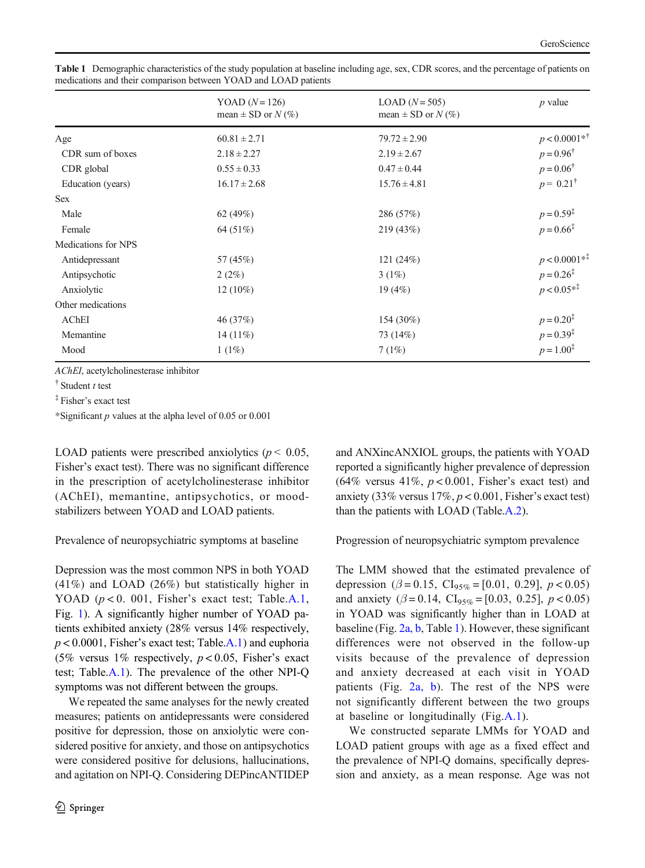|                     | YOAD $(N=126)$<br>mean $\pm$ SD or $N$ (%) | $LOAD (N=505)$<br>mean $\pm$ SD or $N$ (%) | $p$ value                 |
|---------------------|--------------------------------------------|--------------------------------------------|---------------------------|
| Age                 | $60.81 \pm 2.71$                           | $79.72 \pm 2.90$                           | $p < 0.0001**^{\dagger}$  |
| CDR sum of boxes    | $2.18 \pm 2.27$                            | $2.19 \pm 2.67$                            | $p = 0.96^{\dagger}$      |
| CDR global          | $0.55 \pm 0.33$                            | $0.47 \pm 0.44$                            | $p = 0.06^{\dagger}$      |
| Education (years)   | $16.17 \pm 2.68$                           | $15.76 \pm 4.81$                           | $p = 0.21^{\dagger}$      |
| <b>Sex</b>          |                                            |                                            |                           |
| Male                | 62 $(49%)$                                 | 286 (57%)                                  | $p = 0.59^{\ddagger}$     |
| Female              | 64 (51%)                                   | 219(43%)                                   | $p = 0.66^{\ddagger}$     |
| Medications for NPS |                                            |                                            |                           |
| Antidepressant      | 57 (45%)                                   | 121(24%)                                   | $p < 0.0001**^{\ddagger}$ |
| Antipsychotic       | 2(2%)                                      | 3(1%)                                      | $p = 0.26^{\ddagger}$     |
| Anxiolytic          | $12(10\%)$                                 | 19(4%)                                     | $p < 0.05**^{\ddagger}$   |
| Other medications   |                                            |                                            |                           |
| AChEI               | 46 (37%)                                   | 154 (30%)                                  | $p = 0.20^{\ddagger}$     |
| Memantine           | 14 $(11\%)$                                | 73 (14%)                                   | $p = 0.39^{\ddagger}$     |
| Mood                | $1(1\%)$                                   | 7(1%)                                      | $p = 1.00^{\ddagger}$     |

<span id="page-3-0"></span>Table 1 Demographic characteristics of the study population at baseline including age, sex, CDR scores, and the percentage of patients on medications and their comparison between YOAD and LOAD patients

AChEI, acetylcholinesterase inhibitor

 $\dagger$  Student t test

‡ Fisher's exact test

\*Significant  $p$  values at the alpha level of 0.05 or 0.001

LOAD patients were prescribed anxiolytics ( $p < 0.05$ , Fisher's exact test). There was no significant difference in the prescription of acetylcholinesterase inhibitor (AChEI), memantine, antipsychotics, or moodstabilizers between YOAD and LOAD patients.

Prevalence of neuropsychiatric symptoms at baseline

Depression was the most common NPS in both YOAD (41%) and LOAD (26%) but statistically higher in YOAD  $(p < 0.001$ , Fisher's exact test; Table.A.1, Fig. [1\)](#page-4-0). A significantly higher number of YOAD patients exhibited anxiety (28% versus 14% respectively,  $p < 0.0001$ , Fisher's exact test; Table.A.1) and euphoria (5% versus 1% respectively,  $p < 0.05$ , Fisher's exact test; Table.A.1). The prevalence of the other NPI-Q symptoms was not different between the groups.

We repeated the same analyses for the newly created measures; patients on antidepressants were considered positive for depression, those on anxiolytic were considered positive for anxiety, and those on antipsychotics were considered positive for delusions, hallucinations, and agitation on NPI-Q. Considering DEPincANTIDEP and ANXincANXIOL groups, the patients with YOAD reported a significantly higher prevalence of depression (64% versus 41%,  $p < 0.001$ , Fisher's exact test) and anxiety (33% versus  $17\%, p < 0.001$ , Fisher's exact test) than the patients with LOAD (Table.A.2).

Progression of neuropsychiatric symptom prevalence

The LMM showed that the estimated prevalence of depression ( $\beta = 0.15$ , CI<sub>95%</sub> = [0.01, 0.29],  $p < 0.05$ ) and anxiety ( $\beta = 0.14$ , CI<sub>95%</sub> = [0.03, 0.25],  $p < 0.05$ ) in YOAD was significantly higher than in LOAD at baseline (Fig. [2a, b](#page-4-0), Table 1). However, these significant differences were not observed in the follow-up visits because of the prevalence of depression and anxiety decreased at each visit in YOAD patients (Fig. [2a, b](#page-4-0)). The rest of the NPS were not significantly different between the two groups at baseline or longitudinally (Fig.A.1).

We constructed separate LMMs for YOAD and LOAD patient groups with age as a fixed effect and the prevalence of NPI-Q domains, specifically depression and anxiety, as a mean response. Age was not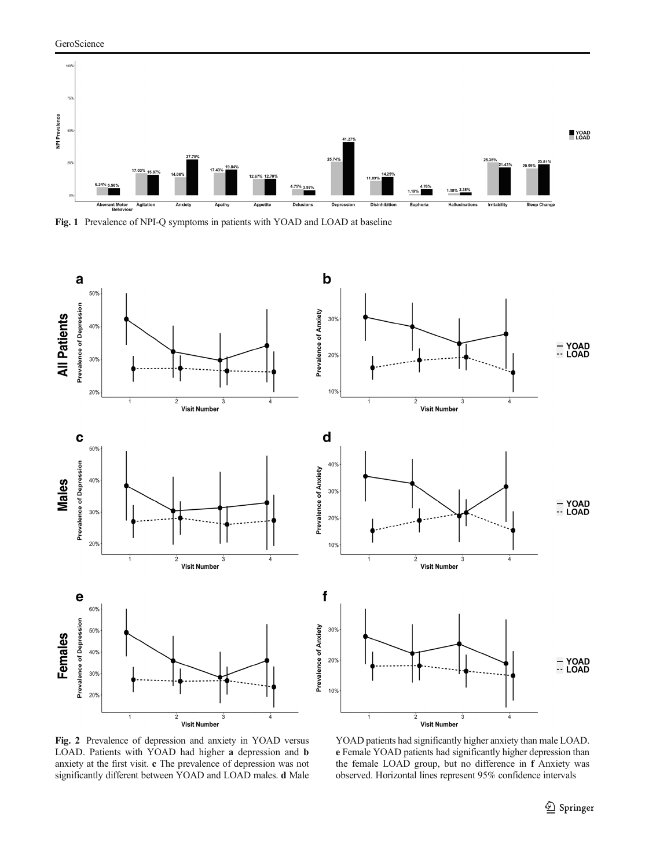<span id="page-4-0"></span>

Fig. 1 Prevalence of NPI-Q symptoms in patients with YOAD and LOAD at baseline



Fig. 2 Prevalence of depression and anxiety in YOAD versus LOAD. Patients with YOAD had higher a depression and b anxiety at the first visit. c The prevalence of depression was not significantly different between YOAD and LOAD males. d Male

YOAD patients had significantly higher anxiety than male LOAD. e Female YOAD patients had significantly higher depression than the female LOAD group, but no difference in f Anxiety was observed. Horizontal lines represent 95% confidence intervals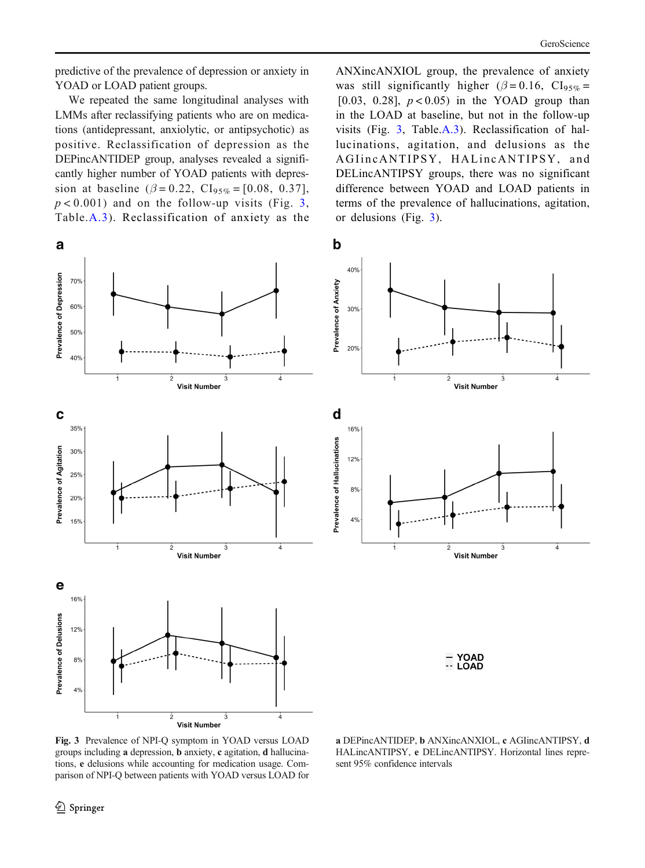predictive of the prevalence of depression or anxiety in YOAD or LOAD patient groups.

We repeated the same longitudinal analyses with LMMs after reclassifying patients who are on medications (antidepressant, anxiolytic, or antipsychotic) as positive. Reclassification of depression as the DEPincANTIDEP group, analyses revealed a significantly higher number of YOAD patients with depression at baseline ( $\beta = 0.22$ , CI<sub>95%</sub> = [0.08, 0.37],  $p < 0.001$ ) and on the follow-up visits (Fig. 3, Table.A.3). Reclassification of anxiety as the ANXincANXIOL group, the prevalence of anxiety was still significantly higher ( $\beta = 0.16$ , CI<sub>95%</sub> = [0.03, 0.28],  $p < 0.05$ ) in the YOAD group than in the LOAD at baseline, but not in the follow-up visits (Fig. 3, Table.A.3). Reclassification of hallucinations, agitation, and delusions as the AGIincANTIPSY, HALincANTIPSY, and DELincANTIPSY groups, there was no significant difference between YOAD and LOAD patients in terms of the prevalence of hallucinations, agitation, or delusions (Fig. 3).

 $\mathbf b$ a **Prevalence of Depression** 70% Prevalence of Anxiety  $60%$ 50%  $40%$  $\overline{2}$  $\overline{3}$ Ā à **Visit Number** C d 35% Prevalence of Hallucinations **Prevalence of Agitation** 30% 25% 20% 15%  $\overline{4}$ ż **Visit Number** e 16% **Prevalence of Delusions**  $12%$ 8%  $4%$ -4 ż Ġ **Visit Number** 

30% 20% Ā ł ż  $\dot{3}$ **Visit Number** 16% 12% 8%  $4%$ <sup>4</sup> **Visit Number** 

40%

**YOAD**  $\cdot$  LOAD

Fig. 3 Prevalence of NPI-Q symptom in YOAD versus LOAD groups including a depression, b anxiety, c agitation, d hallucinations, e delusions while accounting for medication usage. Comparison of NPI-Q between patients with YOAD versus LOAD for

a DEPincANTIDEP, b ANXincANXIOL, c AGIincANTIPSY, d HALincANTIPSY, e DELincANTIPSY. Horizontal lines represent 95% confidence intervals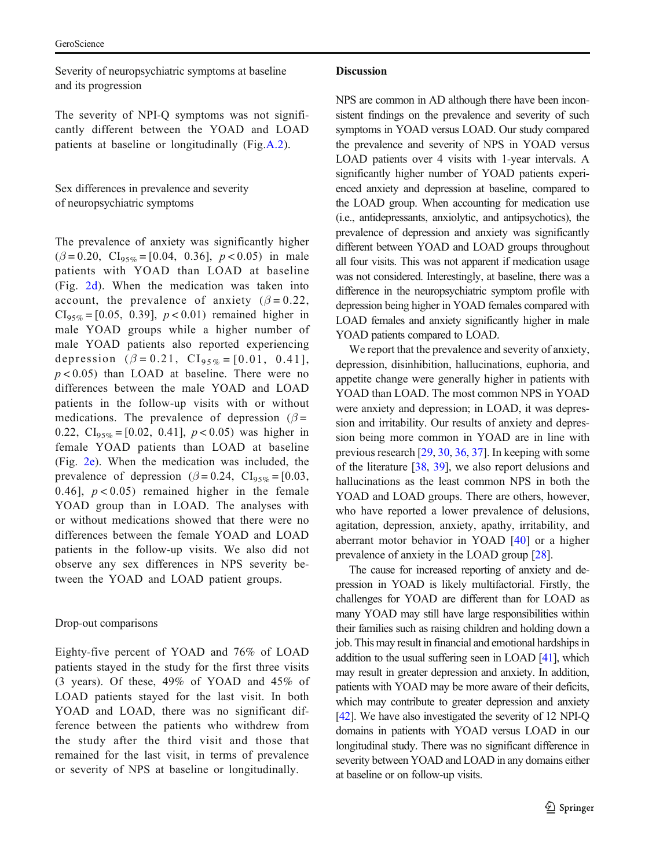Severity of neuropsychiatric symptoms at baseline and its progression

The severity of NPI-Q symptoms was not significantly different between the YOAD and LOAD patients at baseline or longitudinally (Fig.A.2).

Sex differences in prevalence and severity of neuropsychiatric symptoms

The prevalence of anxiety was significantly higher  $(\beta = 0.20, \text{Cl}_{95\%} = [0.04, 0.36], p < 0.05)$  in male patients with YOAD than LOAD at baseline (Fig. [2d\)](#page-4-0). When the medication was taken into account, the prevalence of anxiety ( $\beta = 0.22$ ,  $CI_{95\%} = [0.05, 0.39], p < 0.01$  remained higher in male YOAD groups while a higher number of male YOAD patients also reported experiencing depression  $(\beta = 0.21, \text{Cl}_{95\%} = [0.01, 0.41],$  $p < 0.05$ ) than LOAD at baseline. There were no differences between the male YOAD and LOAD patients in the follow-up visits with or without medications. The prevalence of depression ( $\beta$  = 0.22,  $CI_{95\%} = [0.02, 0.41], p < 0.05$  was higher in female YOAD patients than LOAD at baseline (Fig. [2e\)](#page-4-0). When the medication was included, the prevalence of depression ( $\beta$  = 0.24, CI<sub>95%</sub> = [0.03, 0.46],  $p < 0.05$  remained higher in the female YOAD group than in LOAD. The analyses with or without medications showed that there were no differences between the female YOAD and LOAD patients in the follow-up visits. We also did not observe any sex differences in NPS severity between the YOAD and LOAD patient groups.

# Drop-out comparisons

Eighty-five percent of YOAD and 76% of LOAD patients stayed in the study for the first three visits (3 years). Of these, 49% of YOAD and 45% of LOAD patients stayed for the last visit. In both YOAD and LOAD, there was no significant difference between the patients who withdrew from the study after the third visit and those that remained for the last visit, in terms of prevalence or severity of NPS at baseline or longitudinally.

# Discussion

NPS are common in AD although there have been inconsistent findings on the prevalence and severity of such symptoms in YOAD versus LOAD. Our study compared the prevalence and severity of NPS in YOAD versus LOAD patients over 4 visits with 1-year intervals. A significantly higher number of YOAD patients experienced anxiety and depression at baseline, compared to the LOAD group. When accounting for medication use (i.e., antidepressants, anxiolytic, and antipsychotics), the prevalence of depression and anxiety was significantly different between YOAD and LOAD groups throughout all four visits. This was not apparent if medication usage was not considered. Interestingly, at baseline, there was a difference in the neuropsychiatric symptom profile with depression being higher in YOAD females compared with LOAD females and anxiety significantly higher in male YOAD patients compared to LOAD.

We report that the prevalence and severity of anxiety, depression, disinhibition, hallucinations, euphoria, and appetite change were generally higher in patients with YOAD than LOAD. The most common NPS in YOAD were anxiety and depression; in LOAD, it was depression and irritability. Our results of anxiety and depression being more common in YOAD are in line with previous research [\[29](#page-9-0), [30](#page-9-0), [36,](#page-9-0) [37](#page-9-0)]. In keeping with some of the literature [\[38,](#page-10-0) [39\]](#page-10-0), we also report delusions and hallucinations as the least common NPS in both the YOAD and LOAD groups. There are others, however, who have reported a lower prevalence of delusions, agitation, depression, anxiety, apathy, irritability, and aberrant motor behavior in YOAD [\[40](#page-10-0)] or a higher prevalence of anxiety in the LOAD group [\[28\]](#page-9-0).

The cause for increased reporting of anxiety and depression in YOAD is likely multifactorial. Firstly, the challenges for YOAD are different than for LOAD as many YOAD may still have large responsibilities within their families such as raising children and holding down a job. This may result in financial and emotional hardships in addition to the usual suffering seen in LOAD [\[41](#page-10-0)], which may result in greater depression and anxiety. In addition, patients with YOAD may be more aware of their deficits, which may contribute to greater depression and anxiety [\[42](#page-10-0)]. We have also investigated the severity of 12 NPI-Q domains in patients with YOAD versus LOAD in our longitudinal study. There was no significant difference in severity between YOAD and LOAD in any domains either at baseline or on follow-up visits.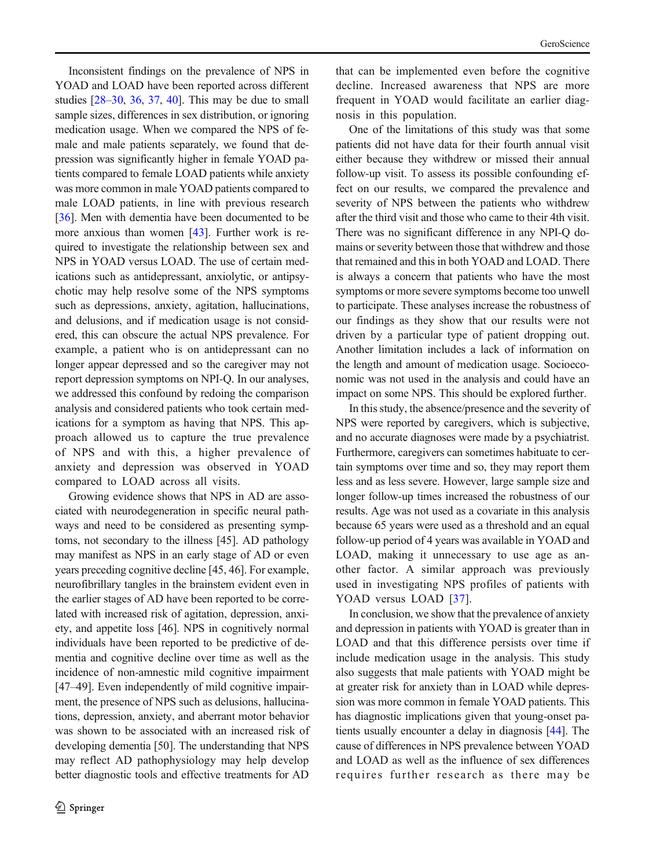Inconsistent findings on the prevalence of NPS in YOAD and LOAD have been reported across different studies  $[28-30, 36, 37, 40]$  $[28-30, 36, 37, 40]$  $[28-30, 36, 37, 40]$  $[28-30, 36, 37, 40]$  $[28-30, 36, 37, 40]$  $[28-30, 36, 37, 40]$  $[28-30, 36, 37, 40]$  $[28-30, 36, 37, 40]$  $[28-30, 36, 37, 40]$  $[28-30, 36, 37, 40]$ . This may be due to small sample sizes, differences in sex distribution, or ignoring medication usage. When we compared the NPS of female and male patients separately, we found that depression was significantly higher in female YOAD patients compared to female LOAD patients while anxiety was more common in male YOAD patients compared to male LOAD patients, in line with previous research [[36\]](#page-9-0). Men with dementia have been documented to be more anxious than women [[43](#page-10-0)]. Further work is required to investigate the relationship between sex and NPS in YOAD versus LOAD. The use of certain medications such as antidepressant, anxiolytic, or antipsychotic may help resolve some of the NPS symptoms such as depressions, anxiety, agitation, hallucinations, and delusions, and if medication usage is not considered, this can obscure the actual NPS prevalence. For example, a patient who is on antidepressant can no longer appear depressed and so the caregiver may not report depression symptoms on NPI-Q. In our analyses, we addressed this confound by redoing the comparison analysis and considered patients who took certain medications for a symptom as having that NPS. This approach allowed us to capture the true prevalence of NPS and with this, a higher prevalence of anxiety and depression was observed in YOAD compared to LOAD across all visits.

Growing evidence shows that NPS in AD are associated with neurodegeneration in specific neural pathways and need to be considered as presenting symptoms, not secondary to the illness [45]. AD pathology may manifest as NPS in an early stage of AD or even years preceding cognitive decline [45, 46]. For example, neurofibrillary tangles in the brainstem evident even in the earlier stages of AD have been reported to be correlated with increased risk of agitation, depression, anxiety, and appetite loss [46]. NPS in cognitively normal individuals have been reported to be predictive of dementia and cognitive decline over time as well as the incidence of non-amnestic mild cognitive impairment [47–49]. Even independently of mild cognitive impairment, the presence of NPS such as delusions, hallucinations, depression, anxiety, and aberrant motor behavior was shown to be associated with an increased risk of developing dementia [50]. The understanding that NPS may reflect AD pathophysiology may help develop better diagnostic tools and effective treatments for AD

that can be implemented even before the cognitive decline. Increased awareness that NPS are more frequent in YOAD would facilitate an earlier diagnosis in this population.

One of the limitations of this study was that some patients did not have data for their fourth annual visit either because they withdrew or missed their annual follow-up visit. To assess its possible confounding effect on our results, we compared the prevalence and severity of NPS between the patients who withdrew after the third visit and those who came to their 4th visit. There was no significant difference in any NPI-Q domains or severity between those that withdrew and those that remained and this in both YOAD and LOAD. There is always a concern that patients who have the most symptoms or more severe symptoms become too unwell to participate. These analyses increase the robustness of our findings as they show that our results were not driven by a particular type of patient dropping out. Another limitation includes a lack of information on the length and amount of medication usage. Socioeconomic was not used in the analysis and could have an impact on some NPS. This should be explored further.

In this study, the absence/presence and the severity of NPS were reported by caregivers, which is subjective, and no accurate diagnoses were made by a psychiatrist. Furthermore, caregivers can sometimes habituate to certain symptoms over time and so, they may report them less and as less severe. However, large sample size and longer follow-up times increased the robustness of our results. Age was not used as a covariate in this analysis because 65 years were used as a threshold and an equal follow-up period of 4 years was available in YOAD and LOAD, making it unnecessary to use age as another factor. A similar approach was previously used in investigating NPS profiles of patients with YOAD versus LOAD [[37\]](#page-9-0).

In conclusion, we show that the prevalence of anxiety and depression in patients with YOAD is greater than in LOAD and that this difference persists over time if include medication usage in the analysis. This study also suggests that male patients with YOAD might be at greater risk for anxiety than in LOAD while depression was more common in female YOAD patients. This has diagnostic implications given that young-onset patients usually encounter a delay in diagnosis [[44](#page-10-0)]. The cause of differences in NPS prevalence between YOAD and LOAD as well as the influence of sex differences requires further research as there may be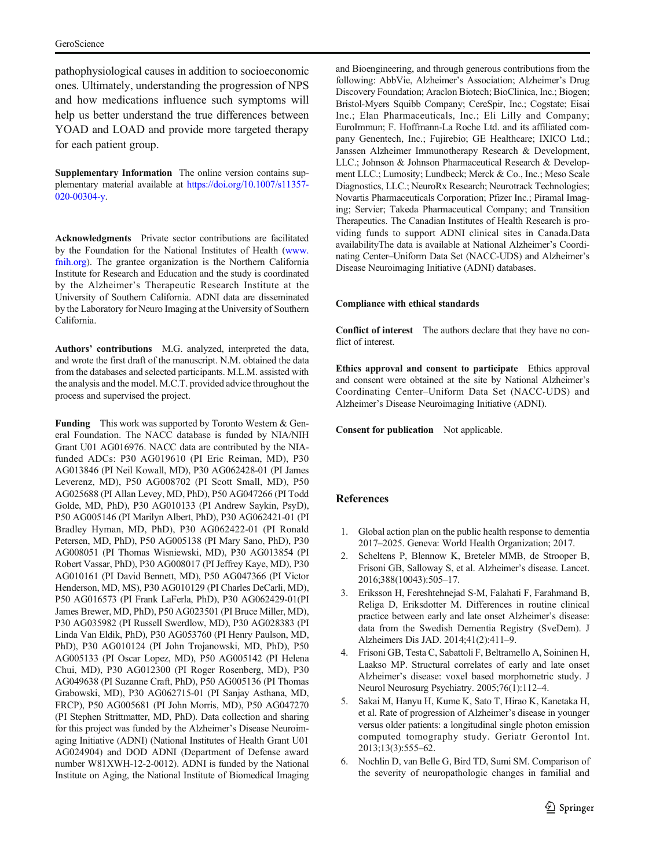<span id="page-8-0"></span>pathophysiological causes in addition to socioeconomic ones. Ultimately, understanding the progression of NPS and how medications influence such symptoms will help us better understand the true differences between YOAD and LOAD and provide more targeted therapy for each patient group.

Supplementary Information The online version contains supplementary material available at [https://doi.org/10.1007/s11357-](https://doi.org/10.1007/s11357-020-00304-y) [020-00304-y](https://doi.org/10.1007/s11357-020-00304-y).

Acknowledgments Private sector contributions are facilitated by the Foundation for the National Institutes of Health [\(www.](http://www.fnih.org) [fnih.org](http://www.fnih.org)). The grantee organization is the Northern California Institute for Research and Education and the study is coordinated by the Alzheimer's Therapeutic Research Institute at the University of Southern California. ADNI data are disseminated by the Laboratory for Neuro Imaging at the University of Southern California.

Authors' contributions M.G. analyzed, interpreted the data, and wrote the first draft of the manuscript. N.M. obtained the data from the databases and selected participants. M.L.M. assisted with the analysis and the model. M.C.T. provided advice throughout the process and supervised the project.

Funding This work was supported by Toronto Western & General Foundation. The NACC database is funded by NIA/NIH Grant U01 AG016976. NACC data are contributed by the NIAfunded ADCs: P30 AG019610 (PI Eric Reiman, MD), P30 AG013846 (PI Neil Kowall, MD), P30 AG062428-01 (PI James Leverenz, MD), P50 AG008702 (PI Scott Small, MD), P50 AG025688 (PI Allan Levey, MD, PhD), P50 AG047266 (PI Todd Golde, MD, PhD), P30 AG010133 (PI Andrew Saykin, PsyD), P50 AG005146 (PI Marilyn Albert, PhD), P30 AG062421-01 (PI Bradley Hyman, MD, PhD), P30 AG062422-01 (PI Ronald Petersen, MD, PhD), P50 AG005138 (PI Mary Sano, PhD), P30 AG008051 (PI Thomas Wisniewski, MD), P30 AG013854 (PI Robert Vassar, PhD), P30 AG008017 (PI Jeffrey Kaye, MD), P30 AG010161 (PI David Bennett, MD), P50 AG047366 (PI Victor Henderson, MD, MS), P30 AG010129 (PI Charles DeCarli, MD), P50 AG016573 (PI Frank LaFerla, PhD), P30 AG062429-01(PI James Brewer, MD, PhD), P50 AG023501 (PI Bruce Miller, MD), P30 AG035982 (PI Russell Swerdlow, MD), P30 AG028383 (PI Linda Van Eldik, PhD), P30 AG053760 (PI Henry Paulson, MD, PhD), P30 AG010124 (PI John Trojanowski, MD, PhD), P50 AG005133 (PI Oscar Lopez, MD), P50 AG005142 (PI Helena Chui, MD), P30 AG012300 (PI Roger Rosenberg, MD), P30 AG049638 (PI Suzanne Craft, PhD), P50 AG005136 (PI Thomas Grabowski, MD), P30 AG062715-01 (PI Sanjay Asthana, MD, FRCP), P50 AG005681 (PI John Morris, MD), P50 AG047270 (PI Stephen Strittmatter, MD, PhD). Data collection and sharing for this project was funded by the Alzheimer's Disease Neuroimaging Initiative (ADNI) (National Institutes of Health Grant U01 AG024904) and DOD ADNI (Department of Defense award number W81XWH-12-2-0012). ADNI is funded by the National Institute on Aging, the National Institute of Biomedical Imaging and Bioengineering, and through generous contributions from the following: AbbVie, Alzheimer's Association; Alzheimer's Drug Discovery Foundation; Araclon Biotech; BioClinica, Inc.; Biogen; Bristol-Myers Squibb Company; CereSpir, Inc.; Cogstate; Eisai Inc.; Elan Pharmaceuticals, Inc.; Eli Lilly and Company; EuroImmun; F. Hoffmann-La Roche Ltd. and its affiliated company Genentech, Inc.; Fujirebio; GE Healthcare; IXICO Ltd.; Janssen Alzheimer Immunotherapy Research & Development, LLC.; Johnson & Johnson Pharmaceutical Research & Development LLC.; Lumosity; Lundbeck; Merck & Co., Inc.; Meso Scale Diagnostics, LLC.; NeuroRx Research; Neurotrack Technologies; Novartis Pharmaceuticals Corporation; Pfizer Inc.; Piramal Imaging; Servier; Takeda Pharmaceutical Company; and Transition Therapeutics. The Canadian Institutes of Health Research is providing funds to support ADNI clinical sites in Canada.Data availabilityThe data is available at National Alzheimer's Coordinating Center–Uniform Data Set (NACC-UDS) and Alzheimer's Disease Neuroimaging Initiative (ADNI) databases.

#### Compliance with ethical standards

Conflict of interest The authors declare that they have no conflict of interest.

Ethics approval and consent to participate Ethics approval and consent were obtained at the site by National Alzheimer's Coordinating Center–Uniform Data Set (NACC-UDS) and Alzheimer's Disease Neuroimaging Initiative (ADNI).

Consent for publication Not applicable.

# References

- 1. Global action plan on the public health response to dementia 2017–2025. Geneva: World Health Organization; 2017.
- 2. Scheltens P, Blennow K, Breteler MMB, de Strooper B, Frisoni GB, Salloway S, et al. Alzheimer's disease. Lancet. 2016;388(10043):505–17.
- 3. Eriksson H, Fereshtehnejad S-M, Falahati F, Farahmand B, Religa D, Eriksdotter M. Differences in routine clinical practice between early and late onset Alzheimer's disease: data from the Swedish Dementia Registry (SveDem). J Alzheimers Dis JAD. 2014;41(2):411–9.
- 4. Frisoni GB, Testa C, Sabattoli F, Beltramello A, Soininen H, Laakso MP. Structural correlates of early and late onset Alzheimer's disease: voxel based morphometric study. J Neurol Neurosurg Psychiatry. 2005;76(1):112–4.
- 5. Sakai M, Hanyu H, Kume K, Sato T, Hirao K, Kanetaka H, et al. Rate of progression of Alzheimer's disease in younger versus older patients: a longitudinal single photon emission computed tomography study. Geriatr Gerontol Int. 2013;13(3):555–62.
- 6. Nochlin D, van Belle G, Bird TD, Sumi SM. Comparison of the severity of neuropathologic changes in familial and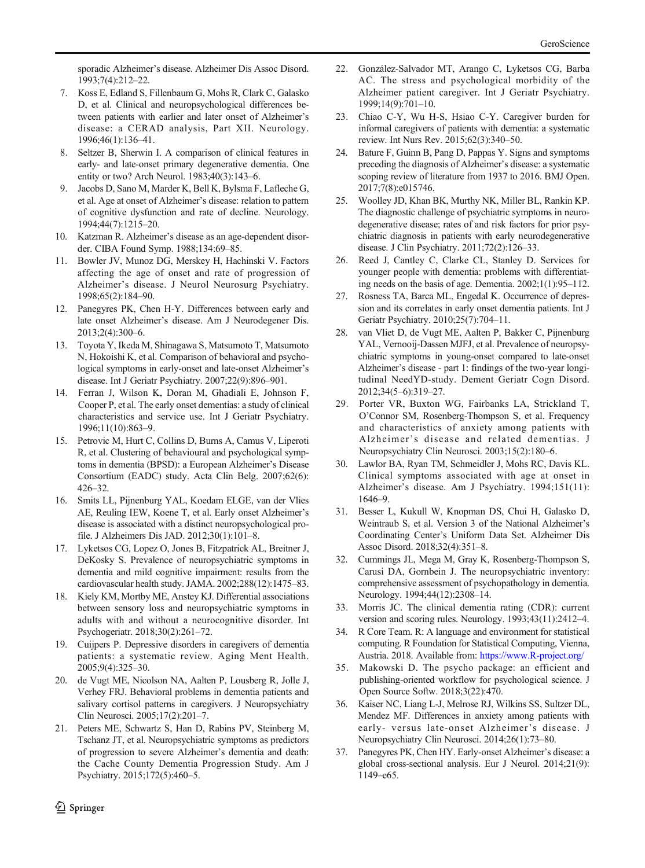<span id="page-9-0"></span>sporadic Alzheimer's disease. Alzheimer Dis Assoc Disord. 1993;7(4):212–22.

- 7. Koss E, Edland S, Fillenbaum G, Mohs R, Clark C, Galasko D, et al. Clinical and neuropsychological differences between patients with earlier and later onset of Alzheimer's disease: a CERAD analysis, Part XII. Neurology. 1996;46(1):136–41.
- 8. Seltzer B, Sherwin I. A comparison of clinical features in early- and late-onset primary degenerative dementia. One entity or two? Arch Neurol. 1983;40(3):143–6.
- 9. Jacobs D, Sano M, Marder K, Bell K, Bylsma F, Lafleche G, et al. Age at onset of Alzheimer's disease: relation to pattern of cognitive dysfunction and rate of decline. Neurology. 1994;44(7):1215–20.
- 10. Katzman R. Alzheimer's disease as an age-dependent disorder. CIBA Found Symp. 1988;134:69–85.
- 11. Bowler JV, Munoz DG, Merskey H, Hachinski V. Factors affecting the age of onset and rate of progression of Alzheimer's disease. J Neurol Neurosurg Psychiatry. 1998;65(2):184–90.
- 12. Panegyres PK, Chen H-Y. Differences between early and late onset Alzheimer's disease. Am J Neurodegener Dis. 2013;2(4):300–6.
- 13. Toyota Y, Ikeda M, Shinagawa S, Matsumoto T, Matsumoto N, Hokoishi K, et al. Comparison of behavioral and psychological symptoms in early-onset and late-onset Alzheimer's disease. Int J Geriatr Psychiatry. 2007;22(9):896–901.
- 14. Ferran J, Wilson K, Doran M, Ghadiali E, Johnson F, Cooper P, et al. The early onset dementias: a study of clinical characteristics and service use. Int J Geriatr Psychiatry. 1996;11(10):863–9.
- 15. Petrovic M, Hurt C, Collins D, Burns A, Camus V, Liperoti R, et al. Clustering of behavioural and psychological symptoms in dementia (BPSD): a European Alzheimer's Disease Consortium (EADC) study. Acta Clin Belg. 2007;62(6): 426–32.
- 16. Smits LL, Pijnenburg YAL, Koedam ELGE, van der Vlies AE, Reuling IEW, Koene T, et al. Early onset Alzheimer's disease is associated with a distinct neuropsychological profile. J Alzheimers Dis JAD. 2012;30(1):101–8.
- 17. Lyketsos CG, Lopez O, Jones B, Fitzpatrick AL, Breitner J, DeKosky S. Prevalence of neuropsychiatric symptoms in dementia and mild cognitive impairment: results from the cardiovascular health study. JAMA. 2002;288(12):1475–83.
- 18. Kiely KM, Mortby ME, Anstey KJ. Differential associations between sensory loss and neuropsychiatric symptoms in adults with and without a neurocognitive disorder. Int Psychogeriatr. 2018;30(2):261–72.
- 19. Cuijpers P. Depressive disorders in caregivers of dementia patients: a systematic review. Aging Ment Health. 2005;9(4):325–30.
- 20. de Vugt ME, Nicolson NA, Aalten P, Lousberg R, Jolle J, Verhey FRJ. Behavioral problems in dementia patients and salivary cortisol patterns in caregivers. J Neuropsychiatry Clin Neurosci. 2005;17(2):201–7.
- 21. Peters ME, Schwartz S, Han D, Rabins PV, Steinberg M, Tschanz JT, et al. Neuropsychiatric symptoms as predictors of progression to severe Alzheimer's dementia and death: the Cache County Dementia Progression Study. Am J Psychiatry. 2015;172(5):460–5.
- 22. González-Salvador MT, Arango C, Lyketsos CG, Barba AC. The stress and psychological morbidity of the Alzheimer patient caregiver. Int J Geriatr Psychiatry. 1999;14(9):701–10.
- 23. Chiao C-Y, Wu H-S, Hsiao C-Y. Caregiver burden for informal caregivers of patients with dementia: a systematic review. Int Nurs Rev. 2015;62(3):340–50.
- 24. Bature F, Guinn B, Pang D, Pappas Y. Signs and symptoms preceding the diagnosis of Alzheimer's disease: a systematic scoping review of literature from 1937 to 2016. BMJ Open. 2017;7(8):e015746.
- 25. Woolley JD, Khan BK, Murthy NK, Miller BL, Rankin KP. The diagnostic challenge of psychiatric symptoms in neurodegenerative disease; rates of and risk factors for prior psychiatric diagnosis in patients with early neurodegenerative disease. J Clin Psychiatry. 2011;72(2):126–33.
- 26. Reed J, Cantley C, Clarke CL, Stanley D. Services for younger people with dementia: problems with differentiating needs on the basis of age. Dementia. 2002;1(1):95–112.
- 27. Rosness TA, Barca ML, Engedal K. Occurrence of depression and its correlates in early onset dementia patients. Int J Geriatr Psychiatry. 2010;25(7):704–11.
- 28. van Vliet D, de Vugt ME, Aalten P, Bakker C, Pijnenburg YAL, Vernooij-Dassen MJFJ, et al. Prevalence of neuropsychiatric symptoms in young-onset compared to late-onset Alzheimer's disease - part 1: findings of the two-year longitudinal NeedYD-study. Dement Geriatr Cogn Disord. 2012;34(5–6):319–27.
- 29. Porter VR, Buxton WG, Fairbanks LA, Strickland T, O'Connor SM, Rosenberg-Thompson S, et al. Frequency and characteristics of anxiety among patients with Alzheimer's disease and related dementias. J Neuropsychiatry Clin Neurosci. 2003;15(2):180–6.
- 30. Lawlor BA, Ryan TM, Schmeidler J, Mohs RC, Davis KL. Clinical symptoms associated with age at onset in Alzheimer's disease. Am J Psychiatry. 1994;151(11): 1646–9.
- 31. Besser L, Kukull W, Knopman DS, Chui H, Galasko D, Weintraub S, et al. Version 3 of the National Alzheimer's Coordinating Center's Uniform Data Set. Alzheimer Dis Assoc Disord. 2018;32(4):351–8.
- 32. Cummings JL, Mega M, Gray K, Rosenberg-Thompson S, Carusi DA, Gornbein J. The neuropsychiatric inventory: comprehensive assessment of psychopathology in dementia. Neurology. 1994;44(12):2308–14.
- 33. Morris JC. The clinical dementia rating (CDR): current version and scoring rules. Neurology. 1993;43(11):2412–4.
- 34. R Core Team. R: A language and environment for statistical computing. R Foundation for Statistical Computing, Vienna, Austria. 2018. Available from: [https://www.R-project.org/](https://www.r--project.org/)
- 35. Makowski D. The psycho package: an efficient and publishing-oriented workflow for psychological science. J Open Source Softw. 2018;3(22):470.
- 36. Kaiser NC, Liang L-J, Melrose RJ, Wilkins SS, Sultzer DL, Mendez MF. Differences in anxiety among patients with early- versus late-onset Alzheimer's disease. J Neuropsychiatry Clin Neurosci. 2014;26(1):73–80.
- 37. Panegyres PK, Chen HY. Early-onset Alzheimer's disease: a global cross-sectional analysis. Eur J Neurol. 2014;21(9): 1149–e65.